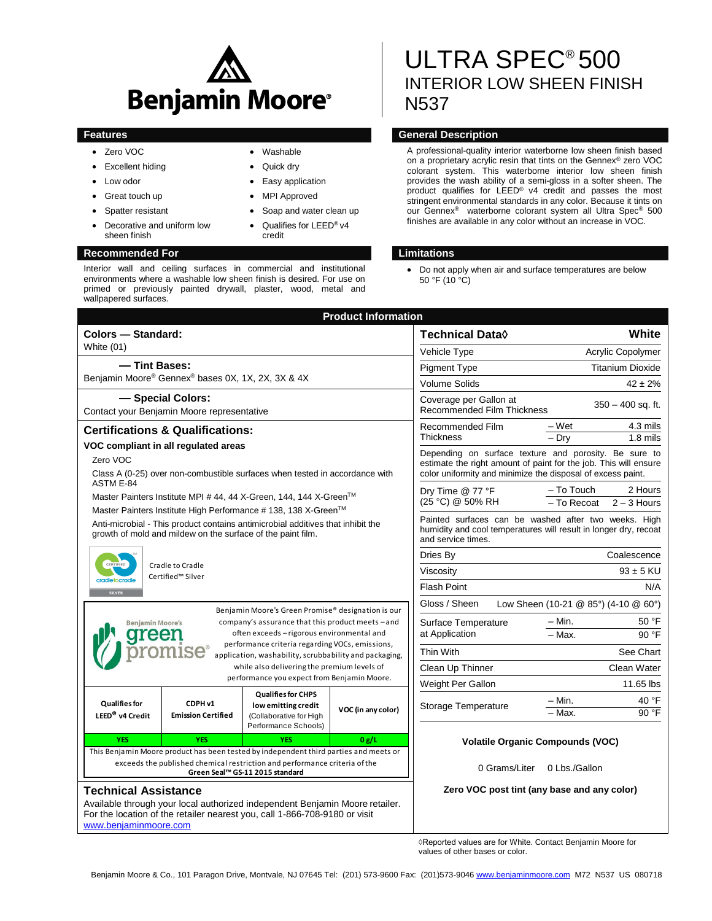

 Washable Quick dry

credit

 Easy application MPI Approved

 Soap and water clean up Qualifies for LEED® v4

- Zero VOC
- Excellent hiding
- Low odor
- Great touch up
- Spatter resistant
- Decorative and uniform low sheen finish

#### **Recommended For Limitations**

Interior wall and ceiling surfaces in commercial and institutional environments where a washable low sheen finish is desired. For use on primed or previously painted drywall, plaster, wood, metal and wallpapered surfaces.

# ULTRA SPEC® 500 INTERIOR LOW SHEEN FINISH N537

## **Features General Description**

A professional-quality interior waterborne low sheen finish based on a proprietary acrylic resin that tints on the Gennex® zero VOC colorant system. This waterborne interior low sheen finish provides the wash ability of a semi-gloss in a softer sheen. The product qualifies for LEED® v4 credit and passes the most stringent environmental standards in any color. Because it tints on our Gennex® waterborne colorant system all Ultra Spec® 500 finishes are available in any color without an increase in VOC.

 Do not apply when air and surface temperatures are below 50 °F (10  $\degree$ C)

|                                                                                                                                                                                                                                                                                               |                                                                             | <b>Product Information</b> |                                                                                                                                                                                          |                                                       |
|-----------------------------------------------------------------------------------------------------------------------------------------------------------------------------------------------------------------------------------------------------------------------------------------------|-----------------------------------------------------------------------------|----------------------------|------------------------------------------------------------------------------------------------------------------------------------------------------------------------------------------|-------------------------------------------------------|
| Colors - Standard:                                                                                                                                                                                                                                                                            |                                                                             |                            | <b>Technical Data</b> ◊                                                                                                                                                                  | White                                                 |
| White (01)                                                                                                                                                                                                                                                                                    |                                                                             |                            | Vehicle Type                                                                                                                                                                             | Acrylic Copolymer                                     |
| -Tint Bases:<br>Benjamin Moore® Gennex® bases 0X, 1X, 2X, 3X & 4X                                                                                                                                                                                                                             |                                                                             |                            | <b>Pigment Type</b>                                                                                                                                                                      | <b>Titanium Dioxide</b>                               |
|                                                                                                                                                                                                                                                                                               |                                                                             |                            | <b>Volume Solids</b>                                                                                                                                                                     | $42 \pm 2%$                                           |
| - Special Colors:<br>Contact your Benjamin Moore representative                                                                                                                                                                                                                               |                                                                             |                            | Coverage per Gallon at<br><b>Recommended Film Thickness</b>                                                                                                                              | $350 - 400$ sq. ft.                                   |
| <b>Certifications &amp; Qualifications:</b>                                                                                                                                                                                                                                                   |                                                                             |                            | Recommended Film                                                                                                                                                                         | – Wet<br>4.3 mils                                     |
| VOC compliant in all regulated areas                                                                                                                                                                                                                                                          |                                                                             |                            | <b>Thickness</b>                                                                                                                                                                         | – Drv<br>$1.8$ mils                                   |
| Zero VOC<br>Class A (0-25) over non-combustible surfaces when tested in accordance with                                                                                                                                                                                                       |                                                                             |                            | Depending on surface texture and porosity. Be sure to<br>estimate the right amount of paint for the job. This will ensure<br>color uniformity and minimize the disposal of excess paint. |                                                       |
| ASTM E-84<br>Master Painters Institute MPI # 44, 44 X-Green, 144, 144 X-Green™                                                                                                                                                                                                                |                                                                             |                            | Dry Time @ 77 °F<br>(25 °C) @ 50% RH                                                                                                                                                     | – To Touch<br>2 Hours<br>- To Recoat<br>$2 - 3$ Hours |
| Master Painters Institute High Performance # 138, 138 X-Green™<br>Anti-microbial - This product contains antimicrobial additives that inhibit the<br>growth of mold and mildew on the surface of the paint film.                                                                              |                                                                             |                            | Painted surfaces can be washed after two weeks. High<br>humidity and cool temperatures will result in longer dry, recoat<br>and service times.                                           |                                                       |
| CERTIFIED<br>Cradle to Cradle<br>Certified™ Silver<br>cradletocradle<br><b>SILVER</b>                                                                                                                                                                                                         |                                                                             |                            | Dries By                                                                                                                                                                                 | Coalescence                                           |
|                                                                                                                                                                                                                                                                                               |                                                                             |                            | Viscosity                                                                                                                                                                                | $93 \pm 5$ KU                                         |
|                                                                                                                                                                                                                                                                                               |                                                                             |                            | <b>Flash Point</b>                                                                                                                                                                       | N/A                                                   |
| Benjamin Moore's Green Promise® designation is our                                                                                                                                                                                                                                            |                                                                             |                            | Gloss / Sheen<br>Low Sheen (10-21 @ 85°) (4-10 @ 60°)                                                                                                                                    |                                                       |
| company's assurance that this product meets - and<br><b>Benjamin Moore's</b><br>often exceeds - rigorous environmental and<br>eer<br>performance criteria regarding VOCs, emissions,<br>application, washability, scrubbability and packaging,<br>while also delivering the premium levels of |                                                                             |                            | Surface Temperature<br>at Application                                                                                                                                                    | – Min.<br>50 °F                                       |
|                                                                                                                                                                                                                                                                                               |                                                                             |                            |                                                                                                                                                                                          | $-$ Max.<br>90 °F                                     |
|                                                                                                                                                                                                                                                                                               |                                                                             |                            | Thin With                                                                                                                                                                                | See Chart                                             |
|                                                                                                                                                                                                                                                                                               |                                                                             |                            | Clean Up Thinner                                                                                                                                                                         | Clean Water                                           |
| performance you expect from Benjamin Moore.                                                                                                                                                                                                                                                   |                                                                             |                            | Weight Per Gallon                                                                                                                                                                        | 11.65 lbs                                             |
| <b>Qualifies for</b><br>CDPH v1<br>LEED <sup>®</sup> v4 Credit<br><b>Emission Certified</b>                                                                                                                                                                                                   | <b>Qualifies for CHPS</b><br>low emitting credit<br>(Collaborative for High | VOC (in any color)         | Storage Temperature                                                                                                                                                                      | 40 °F<br>– Min.<br>90 °F<br>- Max.                    |
| <b>YES</b><br><b>YES</b>                                                                                                                                                                                                                                                                      | Performance Schools)<br><b>YES</b>                                          | 0 g/L                      |                                                                                                                                                                                          |                                                       |
| This Benjamin Moore product has been tested by independent third parties and meets or                                                                                                                                                                                                         |                                                                             |                            | <b>Volatile Organic Compounds (VOC)</b>                                                                                                                                                  |                                                       |
| exceeds the published chemical restriction and performance criteria of the<br>Green Seal™ GS-11 2015 standard                                                                                                                                                                                 |                                                                             |                            | 0 Grams/Liter                                                                                                                                                                            | 0 Lbs./Gallon                                         |
| <b>Technical Assistance</b><br>Available through your local authorized independent Benjamin Moore retailer.<br>For the location of the retailer nearest you, call 1-866-708-9180 or visit<br>www.benjaminmoore.com                                                                            |                                                                             |                            | Zero VOC post tint (any base and any color)                                                                                                                                              |                                                       |

◊Reported values are for White. Contact Benjamin Moore for values of other bases or color.